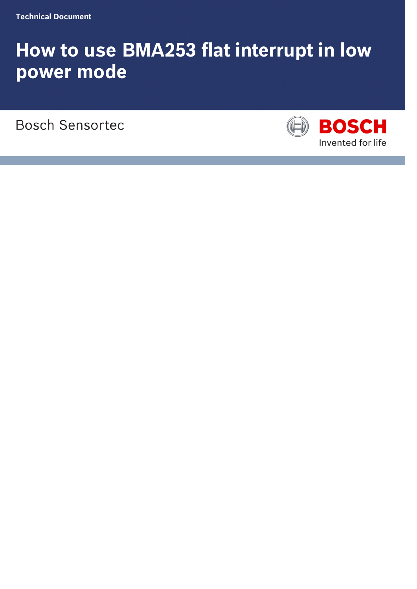# **How to use BMA253 flat interrupt in low power mode**

**Bosch Sensortec** 

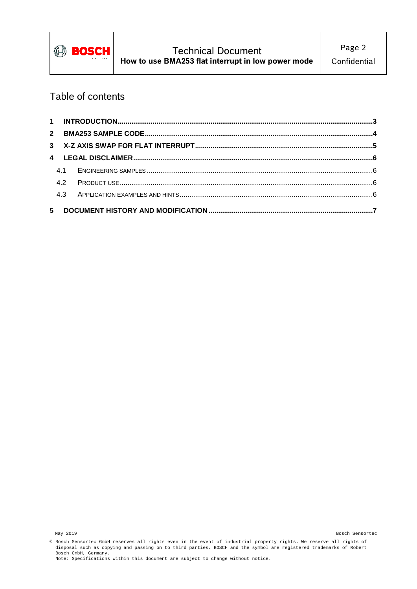

# Table of contents

| 4.2 |  |
|-----|--|
| 4.3 |  |
|     |  |

<sup>©</sup> Bosch Sensortec GmbH reserves all rights even in the event of industrial property rights. We reserve all rights of disposal such as copying and passing on to third parties. BOSCH and the symbol are registered trademarks of Robert Bosch GmbH, Germany. Note: Specifications within this document are subject to change without notice.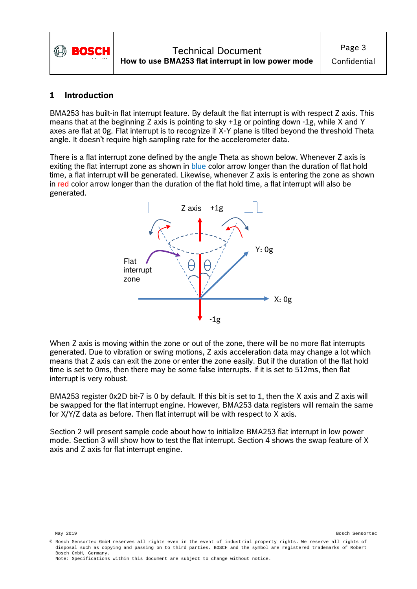

#### <span id="page-2-0"></span>**1 Introduction**

BMA253 has built-in flat interrupt feature. By default the flat interrupt is with respect Z axis. This means that at the beginning Z axis is pointing to sky +1g or pointing down -1g, while X and Y axes are flat at 0g. Flat interrupt is to recognize if X-Y plane is tilted beyond the threshold Theta angle. It doesn't require high sampling rate for the accelerometer data.

There is a flat interrupt zone defined by the angle Theta as shown below. Whenever Z axis is exiting the flat interrupt zone as shown in blue color arrow longer than the duration of flat hold time, a flat interrupt will be generated. Likewise, whenever Z axis is entering the zone as shown in red color arrow longer than the duration of the flat hold time, a flat interrupt will also be generated.



When Z axis is moving within the zone or out of the zone, there will be no more flat interrupts generated. Due to vibration or swing motions, Z axis acceleration data may change a lot which means that Z axis can exit the zone or enter the zone easily. But if the duration of the flat hold time is set to 0ms, then there may be some false interrupts. If it is set to 512ms, then flat interrupt is very robust.

BMA253 register 0x2D bit-7 is 0 by default. If this bit is set to 1, then the X axis and Z axis will be swapped for the flat interrupt engine. However, BMA253 data registers will remain the same for X/Y/Z data as before. Then flat interrupt will be with respect to X axis.

Section 2 will present sample code about how to initialize BMA253 flat interrupt in low power mode. Section 3 will show how to test the flat interrupt. Section 4 shows the swap feature of X axis and Z axis for flat interrupt engine.

<sup>©</sup> Bosch Sensortec GmbH reserves all rights even in the event of industrial property rights. We reserve all rights of disposal such as copying and passing on to third parties. BOSCH and the symbol are registered trademarks of Robert Bosch GmbH, Germany. Note: Specifications within this document are subject to change without notice.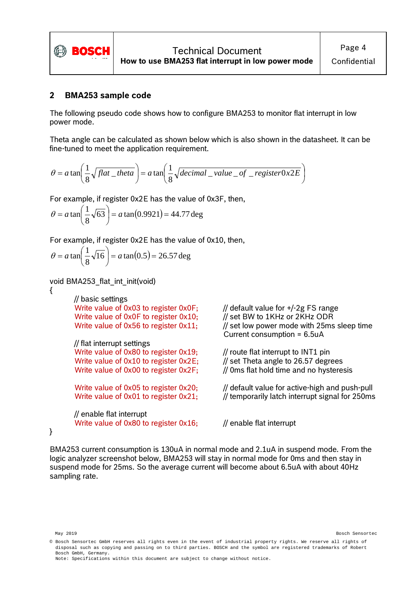

### <span id="page-3-0"></span>**2 BMA253 sample code**

The following pseudo code shows how to configure BMA253 to monitor flat interrupt in low power mode.

Theta angle can be calculated as shown below which is also shown in the datasheet. It can be fine-tuned to meet the application requirement.

$$
\theta = a \tan \left( \frac{1}{8} \sqrt{flat\_theta} \right) = a \tan \left( \frac{1}{8} \sqrt{decimal\_value\_of\_register0x2E} \right)
$$

For example, if register 0x2E has the value of 0x3F, then,

$$
\theta = a \tan \left( \frac{1}{8} \sqrt{63} \right) = a \tan (0.9921) = 44.77 \text{ deg}
$$

For example, if register 0x2E has the value of 0x10, then,

$$
\theta = a \tan \left( \frac{1}{8} \sqrt{16} \right) = a \tan(0.5) = 26.57 \text{ deg}
$$

void BMA253\_flat\_int\_init(void)

{

// basic settings Write value of 0x03 to register 0x0F;  $\frac{1}{10}$  default value for  $\frac{1}{2}$  FS range Write value of 0x0F to register 0x10;  $\frac{1}{10}$  set BW to 1KHz or 2KHz ODR Write value of  $0x0F$  to register  $0x10$ ;

// flat interrupt settings Write value of 0x80 to register  $0x19$ ; // route flat interrupt to INT1 pin Write value of  $0x10$  to register  $0x2E$ ; // set Theta angle to 26.57 degrees

// enable flat interrupt Write value of 0x80 to register  $0x16$ ; // enable flat interrupt

Write value of 0x56 to register  $0x11$ ; // set low power mode with 25ms sleep time Current consumption = 6.5uA

Write value of 0x00 to register  $0x2F$ ; // 0ms flat hold time and no hysteresis

Write value of 0x05 to register 0x20;  $\frac{1}{10}$  default value for active-high and push-pull Write value of 0x01 to register  $0x21$ ; // temporarily latch interrupt signal for 250ms

}

BMA253 current consumption is 130uA in normal mode and 2.1uA in suspend mode. From the logic analyzer screenshot below, BMA253 will stay in normal mode for 0ms and then stay in suspend mode for 25ms. So the average current will become about 6.5uA with about 40Hz sampling rate.

May 2019 Bosch Sensortec

Note: Specifications within this document are subject to change without notice.

<sup>©</sup> Bosch Sensortec GmbH reserves all rights even in the event of industrial property rights. We reserve all rights of disposal such as copying and passing on to third parties. BOSCH and the symbol are registered trademarks of Robert Bosch GmbH, Germany.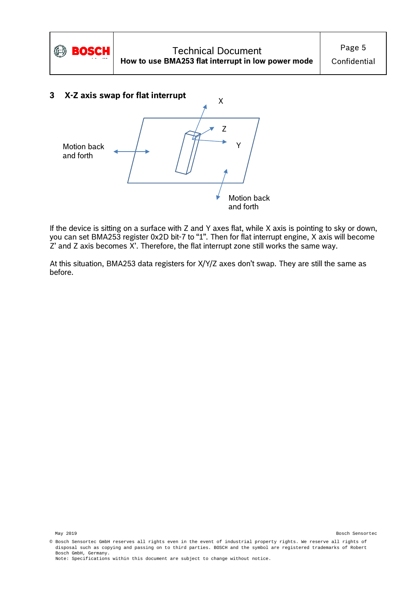

<span id="page-4-0"></span>

If the device is sitting on a surface with Z and Y axes flat, while X axis is pointing to sky or down, you can set BMA253 register 0x2D bit-7 to "1". Then for flat interrupt engine, X axis will become Z' and Z axis becomes X'. Therefore, the flat interrupt zone still works the same way.

At this situation, BMA253 data registers for X/Y/Z axes don't swap. They are still the same as before.

<sup>©</sup> Bosch Sensortec GmbH reserves all rights even in the event of industrial property rights. We reserve all rights of disposal such as copying and passing on to third parties. BOSCH and the symbol are registered trademarks of Robert Bosch GmbH, Germany. Note: Specifications within this document are subject to change without notice.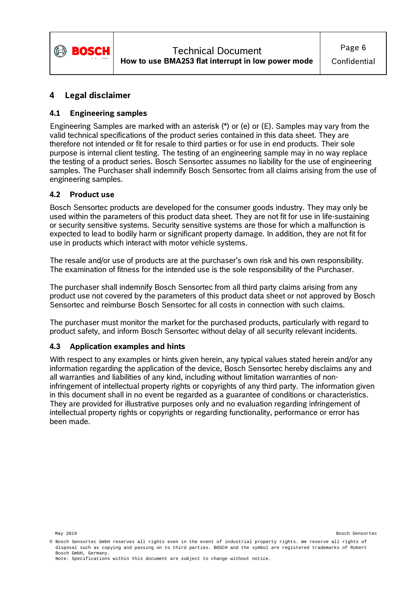

## <span id="page-5-0"></span>**4 Legal disclaimer**

### <span id="page-5-1"></span>**4.1 Engineering samples**

Engineering Samples are marked with an asterisk (\*) or (e) or (E). Samples may vary from the valid technical specifications of the product series contained in this data sheet. They are therefore not intended or fit for resale to third parties or for use in end products. Their sole purpose is internal client testing. The testing of an engineering sample may in no way replace the testing of a product series. Bosch Sensortec assumes no liability for the use of engineering samples. The Purchaser shall indemnify Bosch Sensortec from all claims arising from the use of engineering samples.

#### <span id="page-5-2"></span>**4.2 Product use**

Bosch Sensortec products are developed for the consumer goods industry. They may only be used within the parameters of this product data sheet. They are not fit for use in life-sustaining or security sensitive systems. Security sensitive systems are those for which a malfunction is expected to lead to bodily harm or significant property damage. In addition, they are not fit for use in products which interact with motor vehicle systems.

The resale and/or use of products are at the purchaser's own risk and his own responsibility. The examination of fitness for the intended use is the sole responsibility of the Purchaser.

The purchaser shall indemnify Bosch Sensortec from all third party claims arising from any product use not covered by the parameters of this product data sheet or not approved by Bosch Sensortec and reimburse Bosch Sensortec for all costs in connection with such claims.

The purchaser must monitor the market for the purchased products, particularly with regard to product safety, and inform Bosch Sensortec without delay of all security relevant incidents.

#### <span id="page-5-3"></span>**4.3 Application examples and hints**

With respect to any examples or hints given herein, any typical values stated herein and/or any information regarding the application of the device, Bosch Sensortec hereby disclaims any and all warranties and liabilities of any kind, including without limitation warranties of noninfringement of intellectual property rights or copyrights of any third party. The information given in this document shall in no event be regarded as a guarantee of conditions or characteristics. They are provided for illustrative purposes only and no evaluation regarding infringement of intellectual property rights or copyrights or regarding functionality, performance or error has been made.

<sup>©</sup> Bosch Sensortec GmbH reserves all rights even in the event of industrial property rights. We reserve all rights of disposal such as copying and passing on to third parties. BOSCH and the symbol are registered trademarks of Robert Bosch GmbH, Germany. Note: Specifications within this document are subject to change without notice.